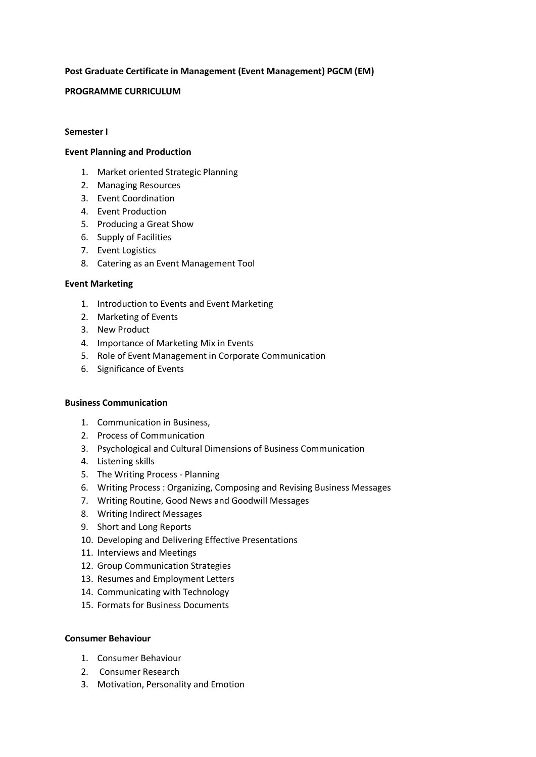# **Post Graduate Certificate in Management (Event Management) PGCM (EM)**

### **PROGRAMME CURRICULUM**

#### **Semester I**

## **Event Planning and Production**

- 1. Market oriented Strategic Planning
- 2. Managing Resources
- 3. Event Coordination
- 4. Event Production
- 5. Producing a Great Show
- 6. Supply of Facilities
- 7. Event Logistics
- 8. Catering as an Event Management Tool

#### **Event Marketing**

- 1. Introduction to Events and Event Marketing
- 2. Marketing of Events
- 3. New Product
- 4. Importance of Marketing Mix in Events
- 5. Role of Event Management in Corporate Communication
- 6. Significance of Events

#### **Business Communication**

- 1. Communication in Business,
- 2. Process of Communication
- 3. Psychological and Cultural Dimensions of Business Communication
- 4. Listening skills
- 5. The Writing Process Planning
- 6. Writing Process : Organizing, Composing and Revising Business Messages
- 7. Writing Routine, Good News and Goodwill Messages
- 8. Writing Indirect Messages
- 9. Short and Long Reports
- 10. Developing and Delivering Effective Presentations
- 11. Interviews and Meetings
- 12. Group Communication Strategies
- 13. Resumes and Employment Letters
- 14. Communicating with Technology
- 15. Formats for Business Documents

#### **Consumer Behaviour**

- 1. Consumer Behaviour
- 2. Consumer Research
- 3. Motivation, Personality and Emotion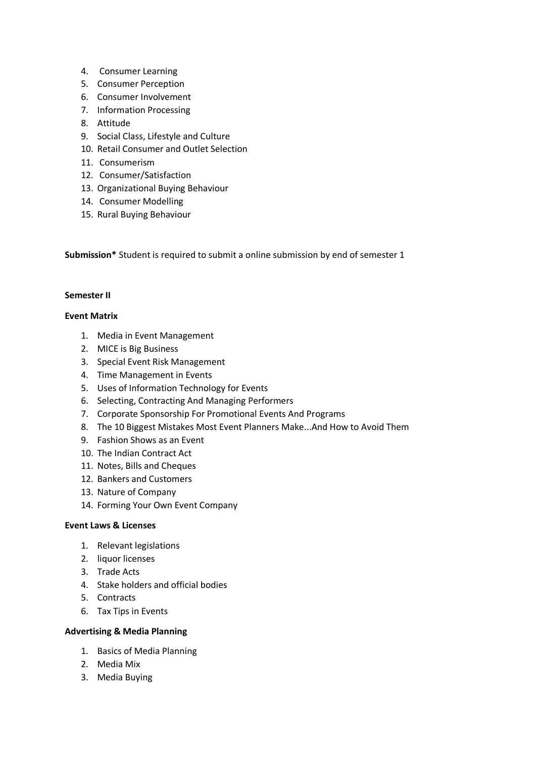- 4. Consumer Learning
- 5. Consumer Perception
- 6. Consumer Involvement
- 7. Information Processing
- 8. Attitude
- 9. Social Class, Lifestyle and Culture
- 10. Retail Consumer and Outlet Selection
- 11. Consumerism
- 12. Consumer/Satisfaction
- 13. Organizational Buying Behaviour
- 14. Consumer Modelling
- 15. Rural Buying Behaviour

**Submission\*** Student is required to submit a online submission by end of semester 1

#### **Semester II**

#### **Event Matrix**

- 1. Media in Event Management
- 2. MICE is Big Business
- 3. Special Event Risk Management
- 4. Time Management in Events
- 5. Uses of Information Technology for Events
- 6. Selecting, Contracting And Managing Performers
- 7. Corporate Sponsorship For Promotional Events And Programs
- 8. The 10 Biggest Mistakes Most Event Planners Make...And How to Avoid Them
- 9. Fashion Shows as an Event
- 10. The Indian Contract Act
- 11. Notes, Bills and Cheques
- 12. Bankers and Customers
- 13. Nature of Company
- 14. Forming Your Own Event Company

# **Event Laws & Licenses**

- 1. Relevant legislations
- 2. liquor licenses
- 3. Trade Acts
- 4. Stake holders and official bodies
- 5. Contracts
- 6. Tax Tips in Events

#### **Advertising & Media Planning**

- 1. Basics of Media Planning
- 2. Media Mix
- 3. Media Buying